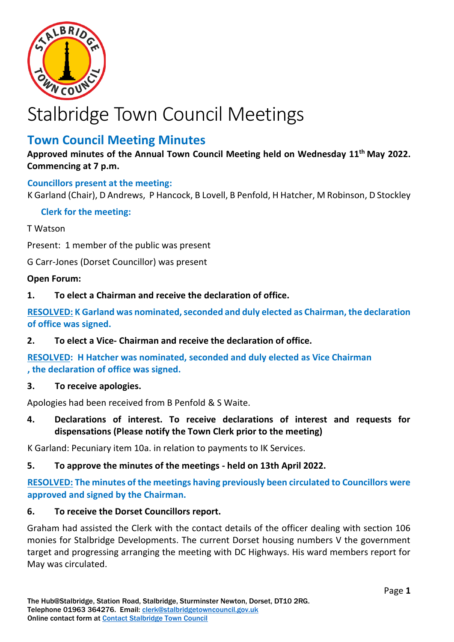

# Stalbridge Town Council Meetings

# **Town Council Meeting Minutes**

**Approved minutes of the Annual Town Council Meeting held on Wednesday 11 th May 2022. Commencing at 7 p.m.**

# **Councillors present at the meeting:**

K Garland (Chair), D Andrews, P Hancock, B Lovell, B Penfold, H Hatcher, M Robinson, D Stockley

#### **Clerk for the meeting:**

#### T Watson

Present: 1 member of the public was present

G Carr-Jones (Dorset Councillor) was present

#### **Open Forum:**

**1. To elect a Chairman and receive the declaration of office.**

**RESOLVED: K Garland was nominated, seconded and duly elected as Chairman, the declaration of office was signed.**

**2. To elect a Vice- Chairman and receive the declaration of office.**

**RESOLVED: H Hatcher was nominated, seconded and duly elected as Vice Chairman , the declaration of office was signed.**

#### **3. To receive apologies.**

Apologies had been received from B Penfold & S Waite.

**4. Declarations of interest. To receive declarations of interest and requests for dispensations (Please notify the Town Clerk prior to the meeting)**

K Garland: Pecuniary item 10a. in relation to payments to IK Services.

#### **5. To approve the minutes of the meetings - held on 13th April 2022.**

**RESOLVED: The minutes of the meetings having previously been circulated to Councillors were approved and signed by the Chairman.**

#### **6. To receive the Dorset Councillors report.**

Graham had assisted the Clerk with the contact details of the officer dealing with section 106 monies for Stalbridge Developments. The current Dorset housing numbers V the government target and progressing arranging the meeting with DC Highways. His ward members report for May was circulated.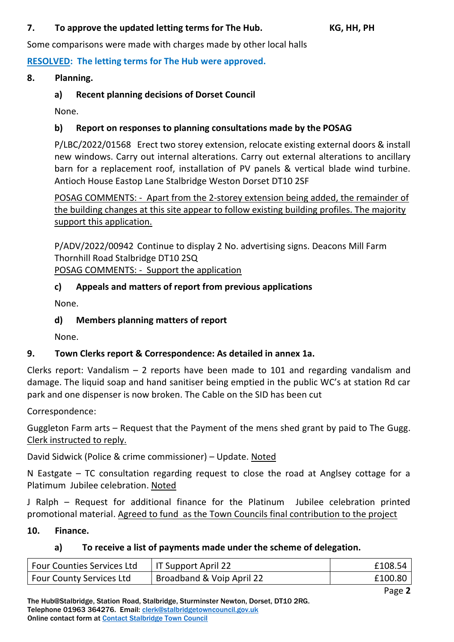# **7. To approve the updated letting terms for The Hub. KG, HH, PH**

Some comparisons were made with charges made by other local halls

**RESOLVED: The letting terms for The Hub were approved.** 

**8. Planning.**

# **a) Recent planning decisions of Dorset Council**

None.

# **b) Report on responses to planning consultations made by the POSAG**

P/LBC/2022/01568 Erect two storey extension, relocate existing external doors & install new windows. Carry out internal alterations. Carry out external alterations to ancillary barn for a replacement roof, installation of PV panels & vertical blade wind turbine. Antioch House Eastop Lane Stalbridge Weston Dorset DT10 2SF

POSAG COMMENTS: - Apart from the 2-storey extension being added, the remainder of the building changes at this site appear to follow existing building profiles. The majority support this application.

P/ADV/2022/00942 Continue to display 2 No. advertising signs. Deacons Mill Farm Thornhill Road Stalbridge DT10 2SQ POSAG COMMENTS: - Support the application

# **c) Appeals and matters of report from previous applications**

None.

# **d) Members planning matters of report**

None.

# **9. Town Clerks report & Correspondence: As detailed in annex 1a.**

Clerks report: Vandalism – 2 reports have been made to 101 and regarding vandalism and damage. The liquid soap and hand sanitiser being emptied in the public WC's at station Rd car park and one dispenser is now broken. The Cable on the SID has been cut

Correspondence:

Guggleton Farm arts – Request that the Payment of the mens shed grant by paid to The Gugg. Clerk instructed to reply.

David Sidwick (Police & crime commissioner) – Update. Noted

N Eastgate – TC consultation regarding request to close the road at Anglsey cottage for a Platimum Jubilee celebration. Noted

J Ralph – Request for additional finance for the Platinum Jubilee celebration printed promotional material. Agreed to fund as the Town Councils final contribution to the project

# **10. Finance.**

# **a) To receive a list of payments made under the scheme of delegation.**

| <b>Four Counties Services Ltd</b> | IT Support April 22       | £108.54 |
|-----------------------------------|---------------------------|---------|
| <b>Four County Services Ltd</b>   | Broadband & Voip April 22 | £100.80 |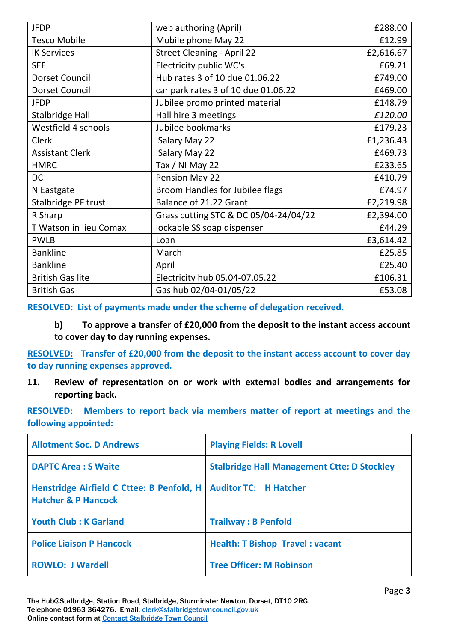| <b>JFDP</b>             | web authoring (April)                 | £288.00   |
|-------------------------|---------------------------------------|-----------|
| <b>Tesco Mobile</b>     | Mobile phone May 22                   | £12.99    |
| <b>IK Services</b>      | <b>Street Cleaning - April 22</b>     | £2,616.67 |
| <b>SEE</b>              | Electricity public WC's               | £69.21    |
| <b>Dorset Council</b>   | Hub rates 3 of 10 due 01.06.22        | £749.00   |
| <b>Dorset Council</b>   | car park rates 3 of 10 due 01.06.22   | £469.00   |
| <b>JFDP</b>             | Jubilee promo printed material        | £148.79   |
| <b>Stalbridge Hall</b>  | Hall hire 3 meetings                  | £120.00   |
| Westfield 4 schools     | Jubilee bookmarks                     | £179.23   |
| <b>Clerk</b>            | Salary May 22                         | £1,236.43 |
| <b>Assistant Clerk</b>  | Salary May 22                         | £469.73   |
| <b>HMRC</b>             | Tax / NI May 22                       | £233.65   |
| <b>DC</b>               | Pension May 22                        | £410.79   |
| N Eastgate              | Broom Handles for Jubilee flags       | £74.97    |
| Stalbridge PF trust     | Balance of 21.22 Grant                | £2,219.98 |
| R Sharp                 | Grass cutting STC & DC 05/04-24/04/22 | £2,394.00 |
| T Watson in lieu Comax  | lockable SS soap dispenser            | £44.29    |
| <b>PWLB</b>             | Loan                                  | £3,614.42 |
| <b>Bankline</b>         | March                                 | £25.85    |
| <b>Bankline</b>         | April                                 | £25.40    |
| <b>British Gas lite</b> | Electricity hub 05.04-07.05.22        | £106.31   |
| <b>British Gas</b>      | Gas hub 02/04-01/05/22                | £53.08    |

**RESOLVED: List of payments made under the scheme of delegation received.**

**b) To approve a transfer of £20,000 from the deposit to the instant access account to cover day to day running expenses.** 

**RESOLVED: Transfer of £20,000 from the deposit to the instant access account to cover day to day running expenses approved.**

**11. Review of representation on or work with external bodies and arrangements for reporting back.**

**RESOLVED: Members to report back via members matter of report at meetings and the following appointed:** 

| <b>Allotment Soc. D Andrews</b>                                             | <b>Playing Fields: R Lovell</b>                    |
|-----------------------------------------------------------------------------|----------------------------------------------------|
| <b>DAPTC Area: S Waite</b>                                                  | <b>Stalbridge Hall Management Ctte: D Stockley</b> |
| Henstridge Airfield C Cttee: B Penfold, H<br><b>Hatcher &amp; P Hancock</b> | <b>Auditor TC: H Hatcher</b>                       |
| <b>Youth Club: K Garland</b>                                                | <b>Trailway: B Penfold</b>                         |
| <b>Police Liaison P Hancock</b>                                             | <b>Health: T Bishop Travel: vacant</b>             |
| <b>ROWLO: J Wardell</b>                                                     | <b>Tree Officer: M Robinson</b>                    |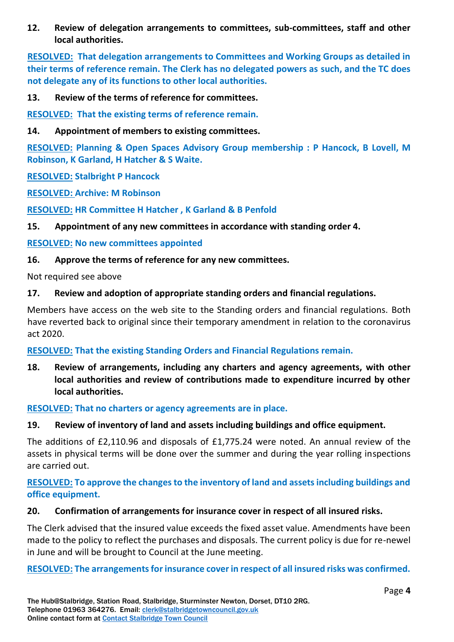**12. Review of delegation arrangements to committees, sub-committees, staff and other local authorities.**

**RESOLVED: That delegation arrangements to Committees and Working Groups as detailed in their terms of reference remain. The Clerk has no delegated powers as such, and the TC does not delegate any of its functions to other local authorities.**

#### **13. Review of the terms of reference for committees.**

**RESOLVED: That the existing terms of reference remain.**

#### **14. Appointment of members to existing committees.**

**RESOLVED: Planning & Open Spaces Advisory Group membership : P Hancock, B Lovell, M Robinson, K Garland, H Hatcher & S Waite.**

#### **RESOLVED: Stalbright P Hancock**

**RESOLVED: Archive: M Robinson** 

**RESOLVED: HR Committee H Hatcher , K Garland & B Penfold** 

#### **15. Appointment of any new committees in accordance with standing order 4.**

#### **RESOLVED: No new committees appointed**

#### **16. Approve the terms of reference for any new committees.**

Not required see above

#### **17. Review and adoption of appropriate standing orders and financial regulations.**

Members have access on the web site to the Standing orders and financial regulations. Both have reverted back to original since their temporary amendment in relation to the coronavirus act 2020.

#### **RESOLVED: That the existing Standing Orders and Financial Regulations remain.**

**18. Review of arrangements, including any charters and agency agreements, with other local authorities and review of contributions made to expenditure incurred by other local authorities.**

#### **RESOLVED: That no charters or agency agreements are in place.**

#### **19. Review of inventory of land and assets including buildings and office equipment.**

The additions of £2,110.96 and disposals of £1,775.24 were noted. An annual review of the assets in physical terms will be done over the summer and during the year rolling inspections are carried out.

# **RESOLVED: To approve the changes to the inventory of land and assets including buildings and office equipment.**

#### **20. Confirmation of arrangements for insurance cover in respect of all insured risks.**

The Clerk advised that the insured value exceeds the fixed asset value. Amendments have been made to the policy to reflect the purchases and disposals. The current policy is due for re-newel in June and will be brought to Council at the June meeting.

#### **RESOLVED: The arrangements for insurance cover in respect of all insured risks was confirmed.**